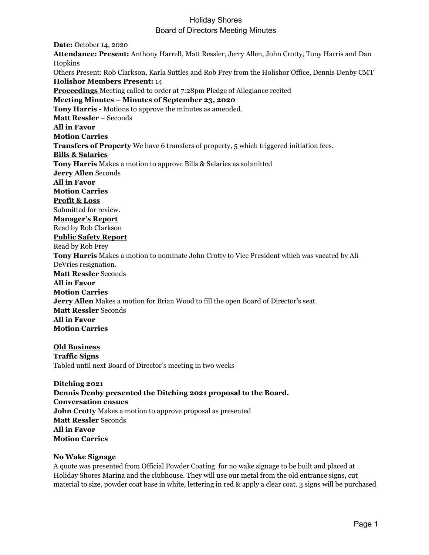## Holiday Shores Board of Directors Meeting Minutes

**Date:** October 14, 2020 **Attendance: Present:** Anthony Harrell, Matt Ressler, Jerry Allen, John Crotty, Tony Harris and Dan Hopkins Others Present: Rob Clarkson, Karla Suttles and Rob Frey from the Holishor Office, Dennis Denby CMT **Holishor Members Present:** 14 **Proceedings** Meeting called to order at 7:28pm Pledge of Allegiance recited **Meeting Minutes – Minutes of September 23, 2020 Tony Harris -** Motions to approve the minutes as amended. **Matt Ressler** – Seconds **All in Favor Motion Carries Transfers of Property** We have 6 transfers of property, 5 which triggered initiation fees. **Bills & Salaries Tony Harris** Makes a motion to approve Bills & Salaries as submitted **Jerry Allen** Seconds **All in Favor Motion Carries Profit & Loss** Submitted for review. **Manager's Report** Read by Rob Clarkson **Public Safety Report** Read by Rob Frey **Tony Harris** Makes a motion to nominate John Crotty to Vice President which was vacated by Ali DeVries resignation. **Matt Ressler** Seconds **All in Favor Motion Carries Jerry Allen** Makes a motion for Brian Wood to fill the open Board of Director's seat. **Matt Ressler** Seconds **All in Favor Motion Carries Old Business**

**Traffic Signs** Tabled until next Board of Director's meeting in two weeks

**Ditching 2021 Dennis Denby presented the Ditching 2021 proposal to the Board. Conversation ensues John Crotty** Makes a motion to approve proposal as presented **Matt Ressler** Seconds **All in Favor Motion Carries**

#### **No Wake Signage**

A quote was presented from Official Powder Coating for no wake signage to be built and placed at Holiday Shores Marina and the clubhouse. They will use our metal from the old entrance signs, cut material to size, powder coat base in white, lettering in red & apply a clear coat. 3 signs will be purchased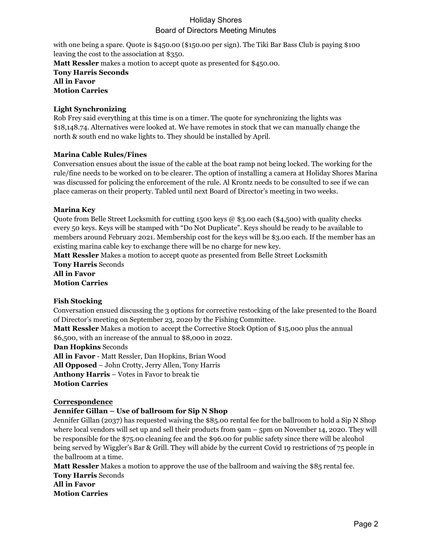# Holiday Shores Board of Directors Meeting Minutes

with one being a spare. Quote is \$450.00 (\$150.00 per sign). The Tiki Bar Bass Club is paying \$100 leaving the cost to the association at \$350.

**Matt Ressler** makes a motion to accept quote as presented for \$450.00. **Tony Harris Seconds All in Favor Motion Carries**

### **Light Synchronizing**

Rob Frey said everything at this time is on a timer. The quote for synchronizing the lights was \$18,148.74. Alternatives were looked at. We have remotes in stock that we can manually change the north & south end no wake lights to. They should be installed by April.

### **Marina Cable Rules/Fines**

Conversation ensues about the issue of the cable at the boat ramp not being locked. The working for the rule/fine needs to be worked on to be clearer. The option of installing a camera at Holiday Shores Marina was discussed for policing the enforcement of the rule. Al Krontz needs to be consulted to see if we can place cameras on their property. Tabled until next Board of Director's meeting in two weeks.

#### **Marina Key**

Quote from Belle Street Locksmith for cutting 1500 keys @ \$3.00 each (\$4,500) with quality checks every 50 keys. Keys will be stamped with "Do Not Duplicate". Keys should be ready to be available to members around February 2021. Membership cost for the keys will be \$3.00 each. If the member has an existing marina cable key to exchange there will be no charge for new key.

**Matt Ressler** Makes a motion to accept quote as presented from Belle Street Locksmith

**Tony Harris** Seconds **All in Favor Motion Carries**

## **Fish Stocking**

Conversation ensued discussing the 3 options for corrective restocking of the lake presented to the Board of Director's meeting on September 23, 2020 by the Fishing Committee.

**Matt Ressler** Makes a motion to accept the Corrective Stock Option of \$15,000 plus the annual \$6,500, with an increase of the annual to \$8,000 in 2022.

**Dan Hopkins** Seconds

**All in Favor** - Matt Ressler, Dan Hopkins, Brian Wood **All Opposed** – John Crotty, Jerry Allen, Tony Harris **Anthony Harris** – Votes in Favor to break tie **Motion Carries**

#### **Correspondence**

## **Jennifer Gillan – Use of ballroom for Sip N Shop**

Jennifer Gillan (2037) has requested waiving the \$85.00 rental fee for the ballroom to hold a Sip N Shop where local vendors will set up and sell their products from 9am – 5pm on November 14, 2020. They will be responsible for the \$75.00 cleaning fee and the \$96.00 for public safety since there will be alcohol being served by Wiggler's Bar & Grill. They will abide by the current Covid 19 restrictions of 75 people in the ballroom at a time.

**Matt Ressler** Makes a motion to approve the use of the ballroom and waiving the \$85 rental fee. **Tony Harris** Seconds **All in Favor Motion Carries**